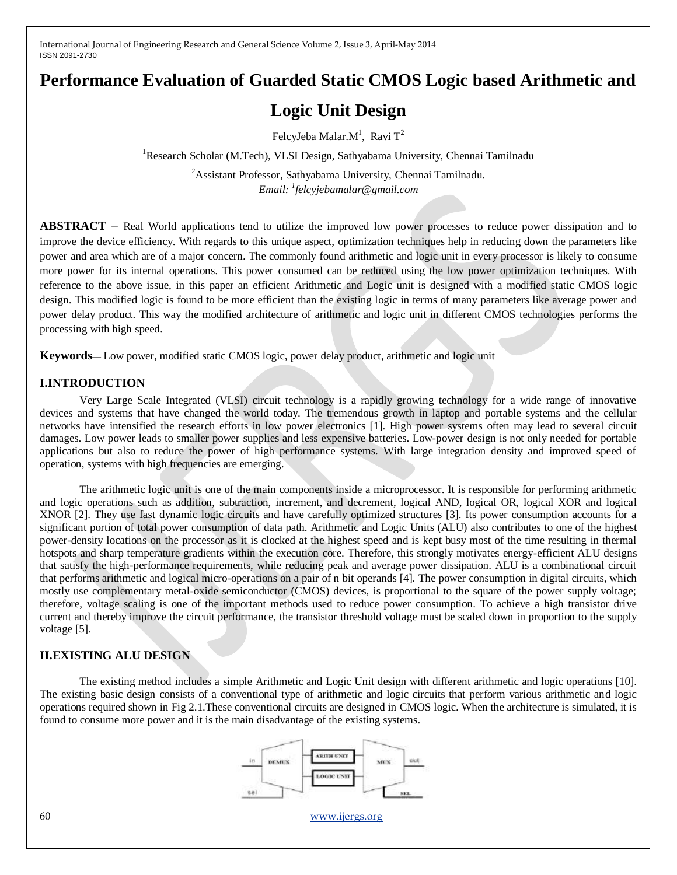# **Performance Evaluation of Guarded Static CMOS Logic based Arithmetic and**

# **Logic Unit Design**

FelcyJeba Malar. $M^1$ , Ravi  $T^2$ 

<sup>1</sup>Research Scholar (M.Tech), VLSI Design, Sathyabama University, Chennai Tamilnadu

<sup>2</sup>Assistant Professor, Sathyabama University, Chennai Tamilnadu. *Email: <sup>1</sup> felcyjebamalar@gmail.com*

**ABSTRACT –** Real World applications tend to utilize the improved low power processes to reduce power dissipation and to improve the device efficiency. With regards to this unique aspect, optimization techniques help in reducing down the parameters like power and area which are of a major concern. The commonly found arithmetic and logic unit in every processor is likely to consume more power for its internal operations. This power consumed can be reduced using the low power optimization techniques. With reference to the above issue, in this paper an efficient Arithmetic and Logic unit is designed with a modified static CMOS logic design. This modified logic is found to be more efficient than the existing logic in terms of many parameters like average power and power delay product. This way the modified architecture of arithmetic and logic unit in different CMOS technologies performs the processing with high speed.

**Keywords**— Low power, modified static CMOS logic, power delay product, arithmetic and logic unit

## **I.INTRODUCTION**

Very Large Scale Integrated (VLSI) circuit technology is a rapidly growing technology for a wide range of innovative devices and systems that have changed the world today. The tremendous growth in laptop and portable systems and the cellular networks have intensified the research efforts in low power electronics [1]. High power systems often may lead to several circuit damages. Low power leads to smaller power supplies and less expensive batteries. Low-power design is not only needed for portable applications but also to reduce the power of high performance systems. With large integration density and improved speed of operation, systems with high frequencies are emerging.

The arithmetic logic unit is one of the main components inside a microprocessor. It is responsible for performing arithmetic and logic operations such as addition, subtraction, increment, and decrement, logical AND, logical OR, logical XOR and logical XNOR [2]. They use fast dynamic logic circuits and have carefully optimized structures [3]. Its power consumption accounts for a significant portion of total power consumption of data path. Arithmetic and Logic Units (ALU) also contributes to one of the highest power-density locations on the processor as it is clocked at the highest speed and is kept busy most of the time resulting in thermal hotspots and sharp temperature gradients within the execution core. Therefore, this strongly motivates energy-efficient ALU designs that satisfy the high-performance requirements, while reducing peak and average power dissipation. ALU is a combinational circuit that performs arithmetic and logical micro-operations on a pair of n bit operands [4]. The power consumption in digital circuits, which mostly use complementary metal-oxide semiconductor (CMOS) devices, is proportional to the square of the power supply voltage; therefore, voltage scaling is one of the important methods used to reduce power consumption. To achieve a high transistor drive current and thereby improve the circuit performance, the transistor threshold voltage must be scaled down in proportion to the supply voltage [5].

## **II.EXISTING ALU DESIGN**

The existing method includes a simple Arithmetic and Logic Unit design with different arithmetic and logic operations [10]. The existing basic design consists of a conventional type of arithmetic and logic circuits that perform various arithmetic and logic operations required shown in Fig 2.1.These conventional circuits are designed in CMOS logic. When the architecture is simulated, it is found to consume more power and it is the main disadvantage of the existing systems.



60 [www.ijergs.org](http://www.ijergs.org/)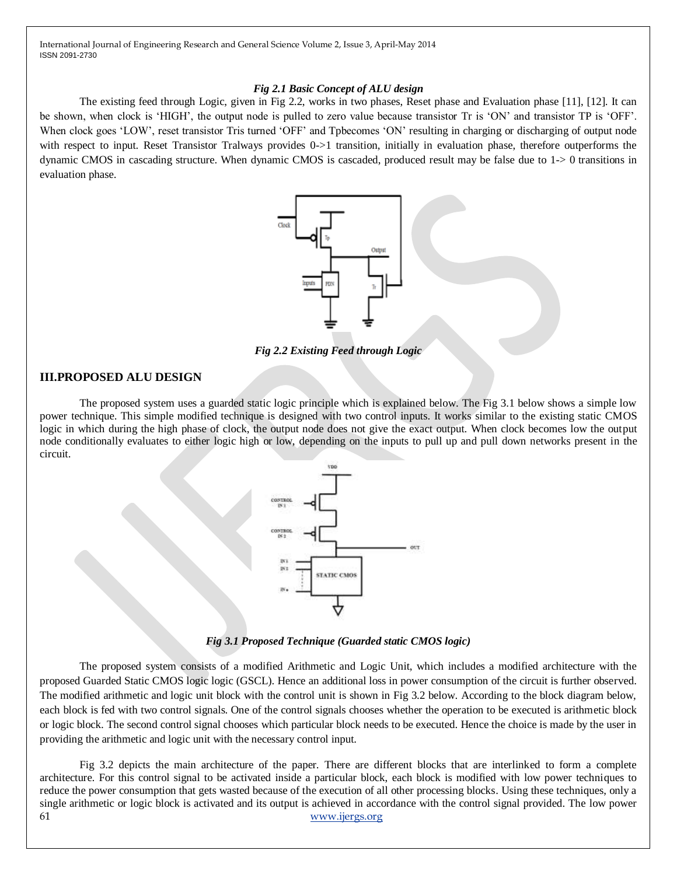#### *Fig 2.1 Basic Concept of ALU design*

The existing feed through Logic, given in Fig 2.2, works in two phases, Reset phase and Evaluation phase [11], [12]. It can be shown, when clock is 'HIGH', the output node is pulled to zero value because transistor Tr is 'ON' and transistor TP is 'OFF'. When clock goes 'LOW', reset transistor Tris turned 'OFF' and Tpbecomes 'ON' resulting in charging or discharging of output node with respect to input. Reset Transistor Tralways provides 0->1 transition, initially in evaluation phase, therefore outperforms the dynamic CMOS in cascading structure. When dynamic CMOS is cascaded, produced result may be false due to 1-> 0 transitions in evaluation phase.



*Fig 2.2 Existing Feed through Logic*

### **III.PROPOSED ALU DESIGN**

The proposed system uses a guarded static logic principle which is explained below. The Fig 3.1 below shows a simple low power technique. This simple modified technique is designed with two control inputs. It works similar to the existing static CMOS logic in which during the high phase of clock, the output node does not give the exact output. When clock becomes low the output node conditionally evaluates to either logic high or low, depending on the inputs to pull up and pull down networks present in the circuit.



*Fig 3.1 Proposed Technique (Guarded static CMOS logic)*

The proposed system consists of a modified Arithmetic and Logic Unit, which includes a modified architecture with the proposed Guarded Static CMOS logic logic (GSCL). Hence an additional loss in power consumption of the circuit is further observed. The modified arithmetic and logic unit block with the control unit is shown in Fig 3.2 below. According to the block diagram below, each block is fed with two control signals. One of the control signals chooses whether the operation to be executed is arithmetic block or logic block. The second control signal chooses which particular block needs to be executed. Hence the choice is made by the user in providing the arithmetic and logic unit with the necessary control input.

61 [www.ijergs.org](http://www.ijergs.org/) Fig 3.2 depicts the main architecture of the paper. There are different blocks that are interlinked to form a complete architecture. For this control signal to be activated inside a particular block, each block is modified with low power techniques to reduce the power consumption that gets wasted because of the execution of all other processing blocks. Using these techniques, only a single arithmetic or logic block is activated and its output is achieved in accordance with the control signal provided. The low power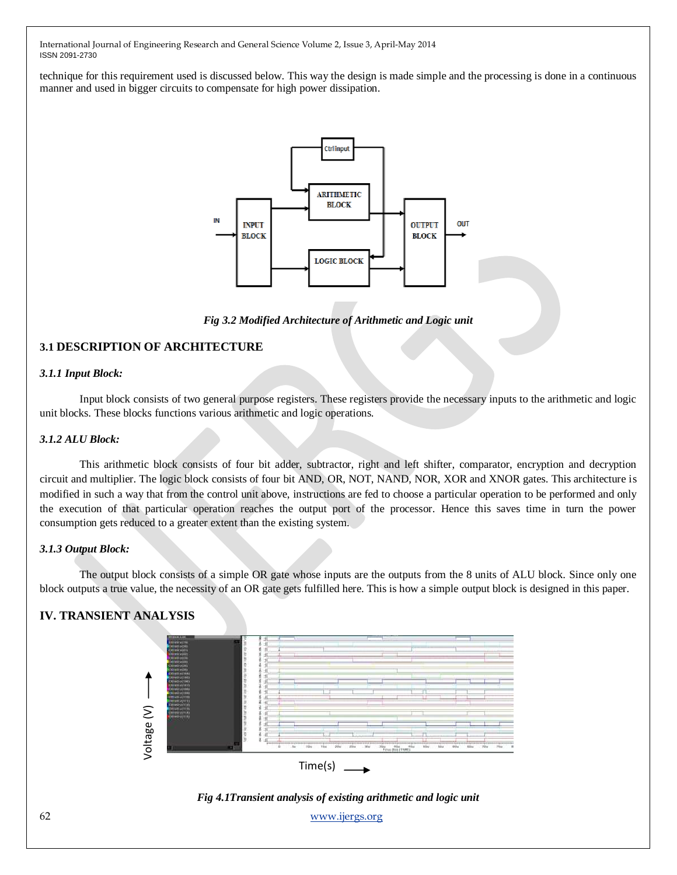technique for this requirement used is discussed below. This way the design is made simple and the processing is done in a continuous manner and used in bigger circuits to compensate for high power dissipation.



*Fig 3.2 Modified Architecture of Arithmetic and Logic unit*

## **3.1 DESCRIPTION OF ARCHITECTURE**

#### *3.1.1 Input Block:*

Input block consists of two general purpose registers. These registers provide the necessary inputs to the arithmetic and logic unit blocks. These blocks functions various arithmetic and logic operations.

#### *3.1.2 ALU Block:*

This arithmetic block consists of four bit adder, subtractor, right and left shifter, comparator, encryption and decryption circuit and multiplier. The logic block consists of four bit AND, OR, NOT, NAND, NOR, XOR and XNOR gates. This architecture is modified in such a way that from the control unit above, instructions are fed to choose a particular operation to be performed and only the execution of that particular operation reaches the output port of the processor. Hence this saves time in turn the power consumption gets reduced to a greater extent than the existing system.

#### *3.1.3 Output Block:*

The output block consists of a simple OR gate whose inputs are the outputs from the 8 units of ALU block. Since only one block outputs a true value, the necessity of an OR gate gets fulfilled here. This is how a simple output block is designed in this paper.

## **IV. TRANSIENT ANALYSIS**





62 [www.ijergs.org](http://www.ijergs.org/)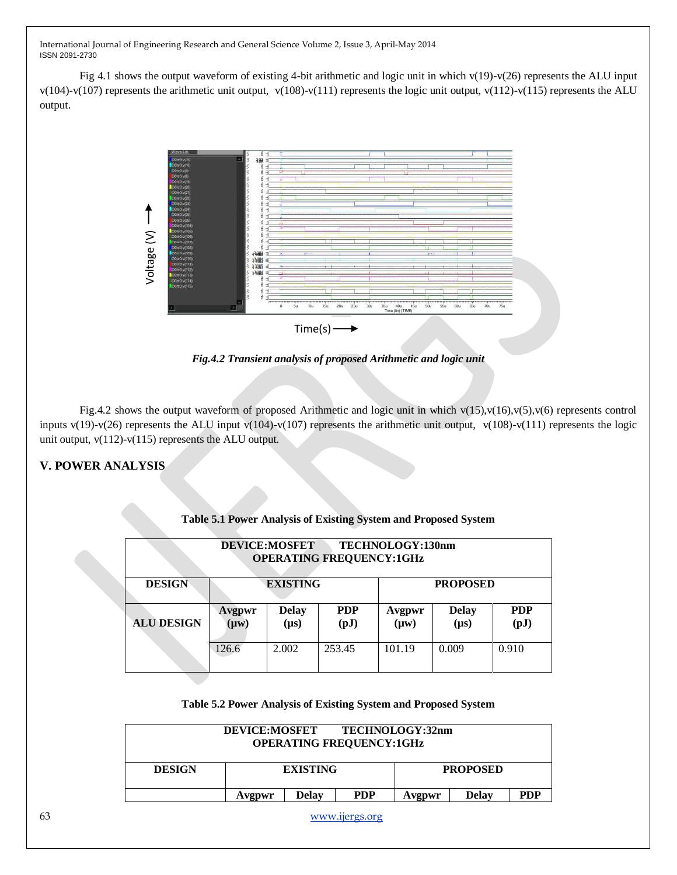Fig 4.1 shows the output waveform of existing 4-bit arithmetic and logic unit in which  $v(19)-v(26)$  represents the ALU input v(104)-v(107) represents the arithmetic unit output, v(108)-v(111) represents the logic unit output, v(112)-v(115) represents the ALU output.



*Fig.4.2 Transient analysis of proposed Arithmetic and logic unit* 

Fig.4.2 shows the output waveform of proposed Arithmetic and logic unit in which  $v(15)$ , $v(16)$ , $v(5)$ , $v(6)$  represents control inputs v(19)-v(26) represents the ALU input v(104)-v(107) represents the arithmetic unit output, v(108)-v(111) represents the logic unit output, v(112)-v(115) represents the ALU output.

## **V. POWER ANALYSIS**

| <b>DEVICE:MOSFET</b><br>TECHNOLOGY:130nm<br><b>OPERATING FREQUENCY:1GHz</b> |                     |                           |                                        |                     |                           |                                         |  |
|-----------------------------------------------------------------------------|---------------------|---------------------------|----------------------------------------|---------------------|---------------------------|-----------------------------------------|--|
| <b>DESIGN</b>                                                               | <b>EXISTING</b>     |                           |                                        | <b>PROPOSED</b>     |                           |                                         |  |
| <b>ALU DESIGN</b>                                                           | Avgpwr<br>$(\mu w)$ | <b>Delay</b><br>$(\mu s)$ | <b>PDP</b><br>$\left(\text{pJ}\right)$ | Avgpwr<br>$(\mu w)$ | <b>Delay</b><br>$(\mu s)$ | <b>PDP</b><br>$\left( \text{pJ}\right)$ |  |
|                                                                             | 126.6               | 2.002                     | 253.45                                 | 101.19              | 0.009                     | 0.910                                   |  |

#### **Table 5.1 Power Analysis of Existing System and Proposed System**

#### **Table 5.2 Power Analysis of Existing System and Proposed System**

| <b>DEVICE:MOSFET</b><br>TECHNOLOGY:32nm<br><b>OPERATING FREQUENCY:1GHz</b> |                 |              |            |                 |       |            |  |  |
|----------------------------------------------------------------------------|-----------------|--------------|------------|-----------------|-------|------------|--|--|
| <b>DESIGN</b>                                                              | <b>EXISTING</b> |              |            | <b>PROPOSED</b> |       |            |  |  |
|                                                                            | Avgpwr          | <b>Delay</b> | <b>PDP</b> | Avgpwr          | Delay | <b>PDP</b> |  |  |

63 [www.ijergs.org](http://www.ijergs.org/)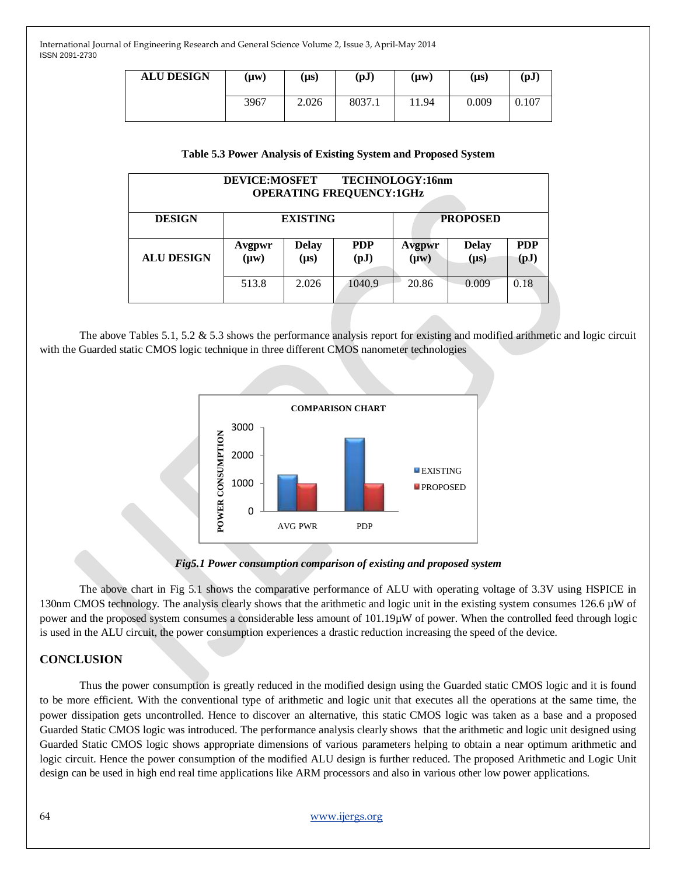| <b>ALU DESIGN</b> | (µw) | (µs)  | (pJ)   | (µw)  | $(\mu s)$ | $\left( \text{pJ}\right)$ |
|-------------------|------|-------|--------|-------|-----------|---------------------------|
|                   | 3967 | 2.026 | 8037.1 | 11.94 | 0.009     | 0.107                     |

#### **Table 5.3 Power Analysis of Existing System and Proposed System**

| <b>DEVICE:MOSFET</b><br>TECHNOLOGY:16nm<br><b>OPERATING FREQUENCY:1GHz</b> |                     |                           |                    |                     |                           |                    |  |  |
|----------------------------------------------------------------------------|---------------------|---------------------------|--------------------|---------------------|---------------------------|--------------------|--|--|
| <b>DESIGN</b>                                                              | <b>EXISTING</b>     |                           |                    | <b>PROPOSED</b>     |                           |                    |  |  |
| <b>ALU DESIGN</b>                                                          | Avgpwr<br>$(\mu w)$ | <b>Delay</b><br>$(\mu s)$ | <b>PDP</b><br>(pJ) | Avgpwr<br>$(\mu w)$ | <b>Delay</b><br>$(\mu s)$ | <b>PDP</b><br>(pJ) |  |  |
|                                                                            | 513.8               | 2.026                     | 1040.9             | 20.86               | 0.009                     | 0.18               |  |  |

The above Tables 5.1, 5.2 & 5.3 shows the performance analysis report for existing and modified arithmetic and logic circuit with the Guarded static CMOS logic technique in three different CMOS nanometer technologies





The above chart in Fig 5.1 shows the comparative performance of ALU with operating voltage of 3.3V using HSPICE in 130nm CMOS technology. The analysis clearly shows that the arithmetic and logic unit in the existing system consumes  $126.6 \mu W$  of power and the proposed system consumes a considerable less amount of 101.19µW of power. When the controlled feed through logic is used in the ALU circuit, the power consumption experiences a drastic reduction increasing the speed of the device.

## **CONCLUSION**

Thus the power consumption is greatly reduced in the modified design using the Guarded static CMOS logic and it is found to be more efficient. With the conventional type of arithmetic and logic unit that executes all the operations at the same time, the power dissipation gets uncontrolled. Hence to discover an alternative, this static CMOS logic was taken as a base and a proposed Guarded Static CMOS logic was introduced. The performance analysis clearly shows that the arithmetic and logic unit designed using Guarded Static CMOS logic shows appropriate dimensions of various parameters helping to obtain a near optimum arithmetic and logic circuit. Hence the power consumption of the modified ALU design is further reduced. The proposed Arithmetic and Logic Unit design can be used in high end real time applications like ARM processors and also in various other low power applications.